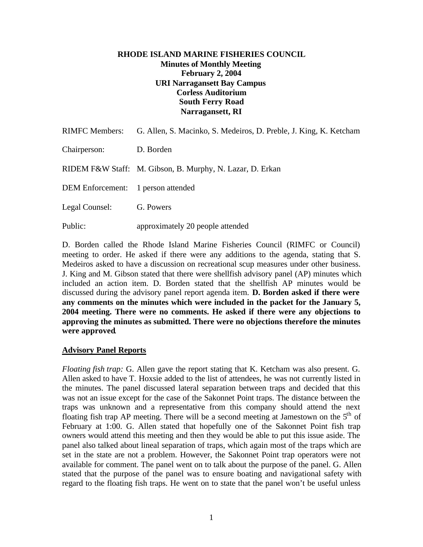## **RHODE ISLAND MARINE FISHERIES COUNCIL Minutes of Monthly Meeting February 2, 2004 URI Narragansett Bay Campus Corless Auditorium South Ferry Road Narragansett, RI**

| <b>RIMFC Members:</b>              | G. Allen, S. Macinko, S. Medeiros, D. Preble, J. King, K. Ketcham |
|------------------------------------|-------------------------------------------------------------------|
| Chairperson:                       | D. Borden                                                         |
|                                    | RIDEM F&W Staff: M. Gibson, B. Murphy, N. Lazar, D. Erkan         |
| DEM Enforcement: 1 person attended |                                                                   |
| Legal Counsel:                     | G. Powers                                                         |
| Public:                            | approximately 20 people attended                                  |

D. Borden called the Rhode Island Marine Fisheries Council (RIMFC or Council) meeting to order. He asked if there were any additions to the agenda, stating that S. Medeiros asked to have a discussion on recreational scup measures under other business. J. King and M. Gibson stated that there were shellfish advisory panel (AP) minutes which included an action item. D. Borden stated that the shellfish AP minutes would be discussed during the advisory panel report agenda item. **D. Borden asked if there were any comments on the minutes which were included in the packet for the January 5, 2004 meeting. There were no comments. He asked if there were any objections to approving the minutes as submitted. There were no objections therefore the minutes were approved**.

# **Advisory Panel Reports**

*Floating fish trap:* G. Allen gave the report stating that K. Ketcham was also present. G. Allen asked to have T. Hoxsie added to the list of attendees, he was not currently listed in the minutes. The panel discussed lateral separation between traps and decided that this was not an issue except for the case of the Sakonnet Point traps. The distance between the traps was unknown and a representative from this company should attend the next floating fish trap AP meeting. There will be a second meeting at Jamestown on the  $5<sup>th</sup>$  of February at 1:00. G. Allen stated that hopefully one of the Sakonnet Point fish trap owners would attend this meeting and then they would be able to put this issue aside. The panel also talked about lineal separation of traps, which again most of the traps which are set in the state are not a problem. However, the Sakonnet Point trap operators were not available for comment. The panel went on to talk about the purpose of the panel. G. Allen stated that the purpose of the panel was to ensure boating and navigational safety with regard to the floating fish traps. He went on to state that the panel won't be useful unless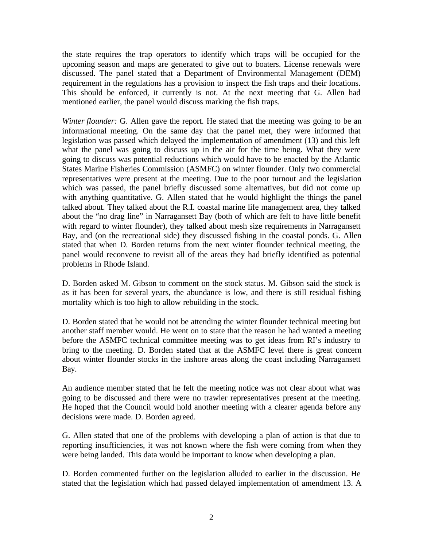the state requires the trap operators to identify which traps will be occupied for the upcoming season and maps are generated to give out to boaters. License renewals were discussed. The panel stated that a Department of Environmental Management (DEM) requirement in the regulations has a provision to inspect the fish traps and their locations. This should be enforced, it currently is not. At the next meeting that G. Allen had mentioned earlier, the panel would discuss marking the fish traps.

*Winter flounder:* G. Allen gave the report. He stated that the meeting was going to be an informational meeting. On the same day that the panel met, they were informed that legislation was passed which delayed the implementation of amendment (13) and this left what the panel was going to discuss up in the air for the time being. What they were going to discuss was potential reductions which would have to be enacted by the Atlantic States Marine Fisheries Commission (ASMFC) on winter flounder. Only two commercial representatives were present at the meeting. Due to the poor turnout and the legislation which was passed, the panel briefly discussed some alternatives, but did not come up with anything quantitative. G. Allen stated that he would highlight the things the panel talked about. They talked about the R.I. coastal marine life management area, they talked about the "no drag line" in Narragansett Bay (both of which are felt to have little benefit with regard to winter flounder), they talked about mesh size requirements in Narragansett Bay, and (on the recreational side) they discussed fishing in the coastal ponds. G. Allen stated that when D. Borden returns from the next winter flounder technical meeting, the panel would reconvene to revisit all of the areas they had briefly identified as potential problems in Rhode Island.

D. Borden asked M. Gibson to comment on the stock status. M. Gibson said the stock is as it has been for several years, the abundance is low, and there is still residual fishing mortality which is too high to allow rebuilding in the stock.

D. Borden stated that he would not be attending the winter flounder technical meeting but another staff member would. He went on to state that the reason he had wanted a meeting before the ASMFC technical committee meeting was to get ideas from RI's industry to bring to the meeting. D. Borden stated that at the ASMFC level there is great concern about winter flounder stocks in the inshore areas along the coast including Narragansett Bay.

An audience member stated that he felt the meeting notice was not clear about what was going to be discussed and there were no trawler representatives present at the meeting. He hoped that the Council would hold another meeting with a clearer agenda before any decisions were made. D. Borden agreed.

G. Allen stated that one of the problems with developing a plan of action is that due to reporting insufficiencies, it was not known where the fish were coming from when they were being landed. This data would be important to know when developing a plan.

D. Borden commented further on the legislation alluded to earlier in the discussion. He stated that the legislation which had passed delayed implementation of amendment 13. A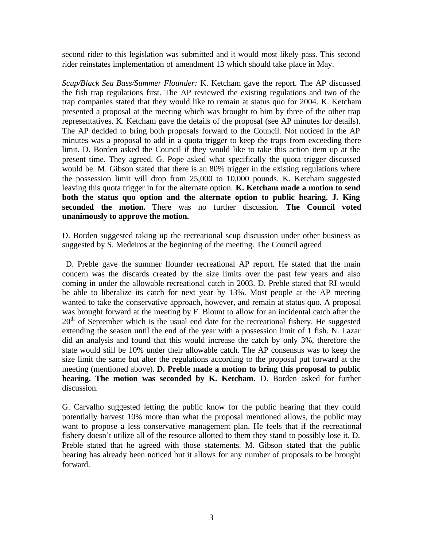second rider to this legislation was submitted and it would most likely pass. This second rider reinstates implementation of amendment 13 which should take place in May.

*Scup/Black Sea Bass/Summer Flounder:* K. Ketcham gave the report. The AP discussed the fish trap regulations first. The AP reviewed the existing regulations and two of the trap companies stated that they would like to remain at status quo for 2004. K. Ketcham presented a proposal at the meeting which was brought to him by three of the other trap representatives. K. Ketcham gave the details of the proposal (see AP minutes for details). The AP decided to bring both proposals forward to the Council. Not noticed in the AP minutes was a proposal to add in a quota trigger to keep the traps from exceeding there limit. D. Borden asked the Council if they would like to take this action item up at the present time. They agreed. G. Pope asked what specifically the quota trigger discussed would be. M. Gibson stated that there is an 80% trigger in the existing regulations where the possession limit will drop from 25,000 to 10,000 pounds. K. Ketcham suggested leaving this quota trigger in for the alternate option. **K. Ketcham made a motion to send both the status quo option and the alternate option to public hearing. J. King seconded the motion.** There was no further discussion. **The Council voted unanimously to approve the motion.**

D. Borden suggested taking up the recreational scup discussion under other business as suggested by S. Medeiros at the beginning of the meeting. The Council agreed

 D. Preble gave the summer flounder recreational AP report. He stated that the main concern was the discards created by the size limits over the past few years and also coming in under the allowable recreational catch in 2003. D. Preble stated that RI would be able to liberalize its catch for next year by 13%. Most people at the AP meeting wanted to take the conservative approach, however, and remain at status quo. A proposal was brought forward at the meeting by F. Blount to allow for an incidental catch after the  $20<sup>th</sup>$  of September which is the usual end date for the recreational fishery. He suggested extending the season until the end of the year with a possession limit of 1 fish. N. Lazar did an analysis and found that this would increase the catch by only 3%, therefore the state would still be 10% under their allowable catch. The AP consensus was to keep the size limit the same but alter the regulations according to the proposal put forward at the meeting (mentioned above). **D. Preble made a motion to bring this proposal to public hearing. The motion was seconded by K. Ketcham.** D. Borden asked for further discussion.

G. Carvalho suggested letting the public know for the public hearing that they could potentially harvest 10% more than what the proposal mentioned allows, the public may want to propose a less conservative management plan. He feels that if the recreational fishery doesn't utilize all of the resource allotted to them they stand to possibly lose it. D. Preble stated that he agreed with those statements. M. Gibson stated that the public hearing has already been noticed but it allows for any number of proposals to be brought forward.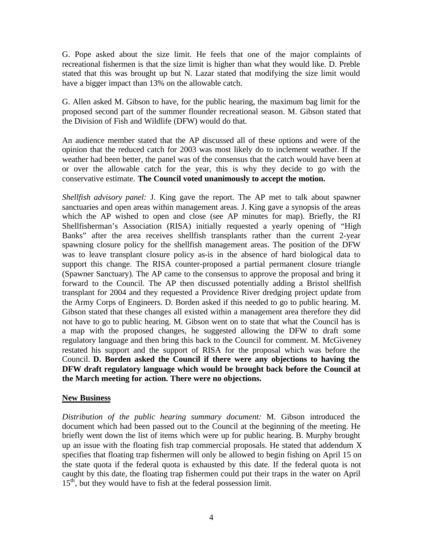G. Pope asked about the size limit. He feels that one of the major complaints of recreational fishermen is that the size limit is higher than what they would like. D. Preble stated that this was brought up but N. Lazar stated that modifying the size limit would have a bigger impact than 13% on the allowable catch.

G. Allen asked M. Gibson to have, for the public hearing, the maximum bag limit for the proposed second part of the summer flounder recreational season. M. Gibson stated that the Division of Fish and Wildlife (DFW) would do that.

An audience member stated that the AP discussed all of these options and were of the opinion that the reduced catch for 2003 was most likely do to inclement weather. If the weather had been better, the panel was of the consensus that the catch would have been at or over the allowable catch for the year, this is why they decide to go with the conservative estimate. **The Council voted unanimously to accept the motion.**

*Shellfish advisory panel:* J. King gave the report. The AP met to talk about spawner sanctuaries and open areas within management areas. J. King gave a synopsis of the areas which the AP wished to open and close (see AP minutes for map). Briefly, the RI Shellfisherman's Association (RISA) initially requested a yearly opening of "High Banks" after the area receives shellfish transplants rather than the current 2-year spawning closure policy for the shellfish management areas. The position of the DFW was to leave transplant closure policy as-is in the absence of hard biological data to support this change. The RISA counter-proposed a partial permanent closure triangle (Spawner Sanctuary). The AP came to the consensus to approve the proposal and bring it forward to the Council. The AP then discussed potentially adding a Bristol shellfish transplant for 2004 and they requested a Providence River dredging project update from the Army Corps of Engineers. D. Borden asked if this needed to go to public hearing. M. Gibson stated that these changes all existed within a management area therefore they did not have to go to public hearing. M. Gibson went on to state that what the Council has is a map with the proposed changes, he suggested allowing the DFW to draft some regulatory language and then bring this back to the Council for comment. M. McGiveney restated his support and the support of RISA for the proposal which was before the Council. **D. Borden asked the Council if there were any objections to having the DFW draft regulatory language which would be brought back before the Council at the March meeting for action. There were no objections.**

# **New Business**

*Distribution of the public hearing summary document:* M. Gibson introduced the document which had been passed out to the Council at the beginning of the meeting. He briefly went down the list of items which were up for public hearing. B. Murphy brought up an issue with the floating fish trap commercial proposals. He stated that addendum X specifies that floating trap fishermen will only be allowed to begin fishing on April 15 on the state quota if the federal quota is exhausted by this date. If the federal quota is not caught by this date, the floating trap fishermen could put their traps in the water on April  $15<sup>th</sup>$ , but they would have to fish at the federal possession limit.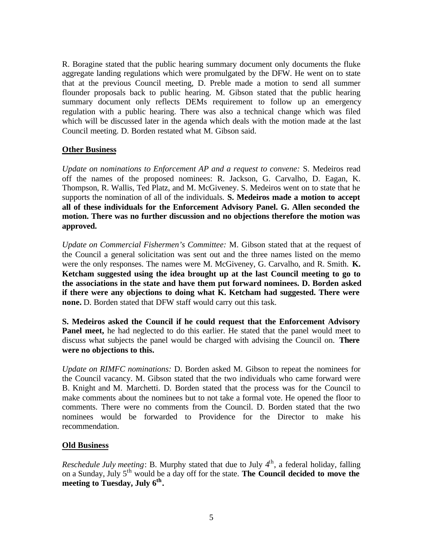R. Boragine stated that the public hearing summary document only documents the fluke aggregate landing regulations which were promulgated by the DFW. He went on to state that at the previous Council meeting, D. Preble made a motion to send all summer flounder proposals back to public hearing. M. Gibson stated that the public hearing summary document only reflects DEMs requirement to follow up an emergency regulation with a public hearing. There was also a technical change which was filed which will be discussed later in the agenda which deals with the motion made at the last Council meeting. D. Borden restated what M. Gibson said.

## **Other Business**

*Update on nominations to Enforcement AP and a request to convene:* S. Medeiros read off the names of the proposed nominees: R. Jackson, G. Carvalho, D. Eagan, K. Thompson, R. Wallis, Ted Platz, and M. McGiveney. S. Medeiros went on to state that he supports the nomination of all of the individuals. **S. Medeiros made a motion to accept all of these individuals for the Enforcement Advisory Panel. G. Allen seconded the motion. There was no further discussion and no objections therefore the motion was approved.**

*Update on Commercial Fishermen's Committee:* M. Gibson stated that at the request of the Council a general solicitation was sent out and the three names listed on the memo were the only responses. The names were M. McGiveney, G. Carvalho, and R. Smith. **K. Ketcham suggested using the idea brought up at the last Council meeting to go to the associations in the state and have them put forward nominees. D. Borden asked if there were any objections to doing what K. Ketcham had suggested. There were none.** D. Borden stated that DFW staff would carry out this task.

**S. Medeiros asked the Council if he could request that the Enforcement Advisory** Panel meet, he had neglected to do this earlier. He stated that the panel would meet to discuss what subjects the panel would be charged with advising the Council on. **There were no objections to this.**

*Update on RIMFC nominations:* D. Borden asked M. Gibson to repeat the nominees for the Council vacancy. M. Gibson stated that the two individuals who came forward were B. Knight and M. Marchetti. D. Borden stated that the process was for the Council to make comments about the nominees but to not take a formal vote. He opened the floor to comments. There were no comments from the Council. D. Borden stated that the two nominees would be forwarded to Providence for the Director to make his recommendation.

#### **Old Business**

*Reschedule July meeting*: B. Murphy stated that due to July 4<sup>th</sup>, a federal holiday, falling on a Sunday, July 5th would be a day off for the state. **The Council decided to move the meeting to Tuesday, July 6th .**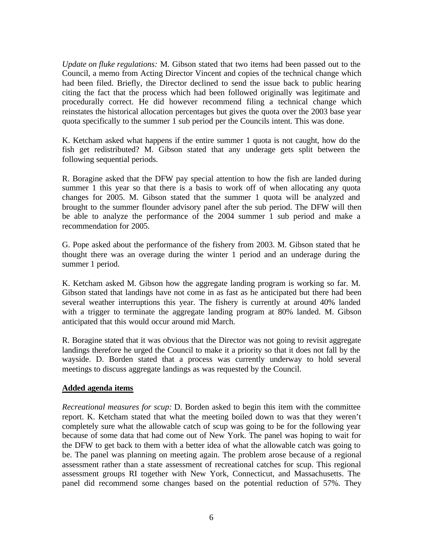*Update on fluke regulations:* M. Gibson stated that two items had been passed out to the Council, a memo from Acting Director Vincent and copies of the technical change which had been filed. Briefly, the Director declined to send the issue back to public hearing citing the fact that the process which had been followed originally was legitimate and procedurally correct. He did however recommend filing a technical change which reinstates the historical allocation percentages but gives the quota over the 2003 base year quota specifically to the summer 1 sub period per the Councils intent. This was done.

K. Ketcham asked what happens if the entire summer 1 quota is not caught, how do the fish get redistributed? M. Gibson stated that any underage gets split between the following sequential periods.

R. Boragine asked that the DFW pay special attention to how the fish are landed during summer 1 this year so that there is a basis to work off of when allocating any quota changes for 2005. M. Gibson stated that the summer 1 quota will be analyzed and brought to the summer flounder advisory panel after the sub period. The DFW will then be able to analyze the performance of the 2004 summer 1 sub period and make a recommendation for 2005.

G. Pope asked about the performance of the fishery from 2003. M. Gibson stated that he thought there was an overage during the winter 1 period and an underage during the summer 1 period.

K. Ketcham asked M. Gibson how the aggregate landing program is working so far. M. Gibson stated that landings have not come in as fast as he anticipated but there had been several weather interruptions this year. The fishery is currently at around 40% landed with a trigger to terminate the aggregate landing program at 80% landed. M. Gibson anticipated that this would occur around mid March.

R. Boragine stated that it was obvious that the Director was not going to revisit aggregate landings therefore he urged the Council to make it a priority so that it does not fall by the wayside. D. Borden stated that a process was currently underway to hold several meetings to discuss aggregate landings as was requested by the Council.

#### **Added agenda items**

*Recreational measures for scup:* D. Borden asked to begin this item with the committee report. K. Ketcham stated that what the meeting boiled down to was that they weren't completely sure what the allowable catch of scup was going to be for the following year because of some data that had come out of New York. The panel was hoping to wait for the DFW to get back to them with a better idea of what the allowable catch was going to be. The panel was planning on meeting again. The problem arose because of a regional assessment rather than a state assessment of recreational catches for scup. This regional assessment groups RI together with New York, Connecticut, and Massachusetts. The panel did recommend some changes based on the potential reduction of 57%. They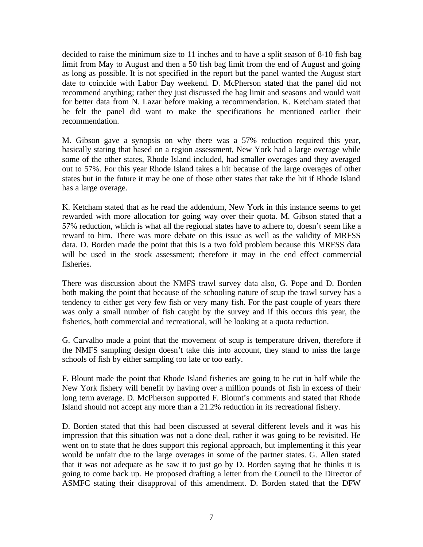decided to raise the minimum size to 11 inches and to have a split season of 8-10 fish bag limit from May to August and then a 50 fish bag limit from the end of August and going as long as possible. It is not specified in the report but the panel wanted the August start date to coincide with Labor Day weekend. D. McPherson stated that the panel did not recommend anything; rather they just discussed the bag limit and seasons and would wait for better data from N. Lazar before making a recommendation. K. Ketcham stated that he felt the panel did want to make the specifications he mentioned earlier their recommendation.

M. Gibson gave a synopsis on why there was a 57% reduction required this year, basically stating that based on a region assessment, New York had a large overage while some of the other states, Rhode Island included, had smaller overages and they averaged out to 57%. For this year Rhode Island takes a hit because of the large overages of other states but in the future it may be one of those other states that take the hit if Rhode Island has a large overage.

K. Ketcham stated that as he read the addendum, New York in this instance seems to get rewarded with more allocation for going way over their quota. M. Gibson stated that a 57% reduction, which is what all the regional states have to adhere to, doesn't seem like a reward to him. There was more debate on this issue as well as the validity of MRFSS data. D. Borden made the point that this is a two fold problem because this MRFSS data will be used in the stock assessment; therefore it may in the end effect commercial fisheries.

There was discussion about the NMFS trawl survey data also, G. Pope and D. Borden both making the point that because of the schooling nature of scup the trawl survey has a tendency to either get very few fish or very many fish. For the past couple of years there was only a small number of fish caught by the survey and if this occurs this year, the fisheries, both commercial and recreational, will be looking at a quota reduction.

G. Carvalho made a point that the movement of scup is temperature driven, therefore if the NMFS sampling design doesn't take this into account, they stand to miss the large schools of fish by either sampling too late or too early.

F. Blount made the point that Rhode Island fisheries are going to be cut in half while the New York fishery will benefit by having over a million pounds of fish in excess of their long term average. D. McPherson supported F. Blount's comments and stated that Rhode Island should not accept any more than a 21.2% reduction in its recreational fishery.

D. Borden stated that this had been discussed at several different levels and it was his impression that this situation was not a done deal, rather it was going to be revisited. He went on to state that he does support this regional approach, but implementing it this year would be unfair due to the large overages in some of the partner states. G. Allen stated that it was not adequate as he saw it to just go by D. Borden saying that he thinks it is going to come back up. He proposed drafting a letter from the Council to the Director of ASMFC stating their disapproval of this amendment. D. Borden stated that the DFW